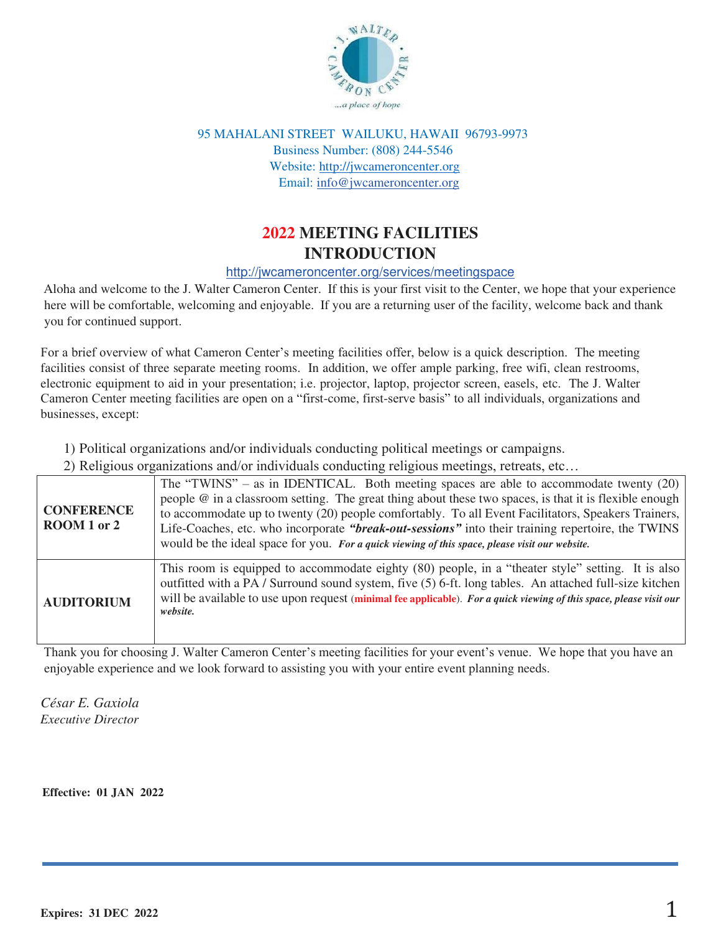

95 MAHALANI STREET WAILUKU, HAWAII 96793-9973 Business Number: (808) 244-5546 Website: [http://jwcameroncenter.org](http://jwcameroncenter.org/) Email: info@jwcameroncenter.org

# **2022 MEETING FACILITIES INTRODUCTION**

#### http://jwcameroncenter.org/services/meetingspace

Aloha and welcome to the J. Walter Cameron Center. If this is your first visit to the Center, we hope that your experience here will be comfortable, welcoming and enjoyable. If you are a returning user of the facility, welcome back and thank you for continued support.

For a brief overview of what Cameron Center's meeting facilities offer, below is a quick description. The meeting facilities consist of three separate meeting rooms. In addition, we offer ample parking, free wifi, clean restrooms, electronic equipment to aid in your presentation; i.e. projector, laptop, projector screen, easels, etc. The J. Walter Cameron Center meeting facilities are open on a "first-come, first-serve basis" to all individuals, organizations and businesses, except:

1) Political organizations and/or individuals conducting political meetings or campaigns.

2) Religious organizations and/or individuals conducting religious meetings, retreats, etc…

| <b>CONFERENCE</b><br>ROOM 1 or 2 | The "TWINS" – as in IDENTICAL. Both meeting spaces are able to accommodate twenty $(20)$<br>people $\omega$ in a classroom setting. The great thing about these two spaces, is that it is flexible enough<br>to accommodate up to twenty (20) people comfortably. To all Event Facilitators, Speakers Trainers,<br>Life-Coaches, etc. who incorporate "break-out-sessions" into their training repertoire, the TWINS<br>would be the ideal space for you. For a quick viewing of this space, please visit our website. |
|----------------------------------|------------------------------------------------------------------------------------------------------------------------------------------------------------------------------------------------------------------------------------------------------------------------------------------------------------------------------------------------------------------------------------------------------------------------------------------------------------------------------------------------------------------------|
| <b>AUDITORIUM</b>                | This room is equipped to accommodate eighty (80) people, in a "theater style" setting. It is also<br>outfitted with a PA / Surround sound system, five (5) 6-ft. long tables. An attached full-size kitchen<br>will be available to use upon request (minimal fee applicable). For a quick viewing of this space, please visit our<br>website.                                                                                                                                                                         |

Thank you for choosing J. Walter Cameron Center's meeting facilities for your event's venue. We hope that you have an enjoyable experience and we look forward to assisting you with your entire event planning needs.

*César E. Gaxiola Executive Director*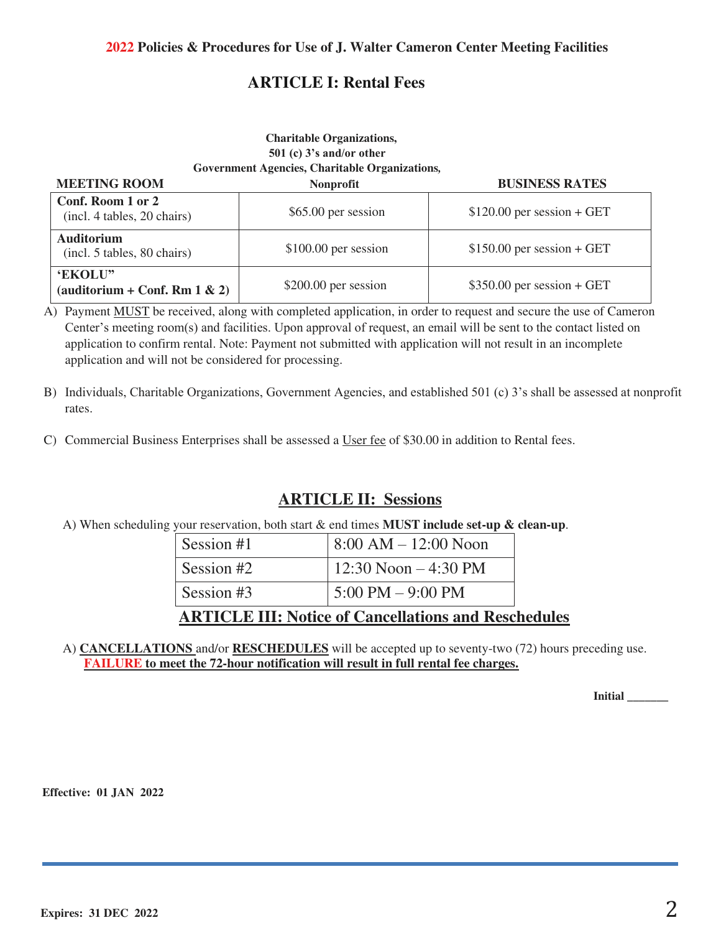# **ARTICLE I: Rental Fees**

### **Charitable Organizations, 501 (c) 3's and/or other Government Agencies, Charitable Organizations***,*

| <b>MEETING ROOM</b>                              | <b>Nonprofit</b>      | <b>BUSINESS RATES</b>       |
|--------------------------------------------------|-----------------------|-----------------------------|
| Conf. Room 1 or 2<br>(incl. 4 tables, 20 chairs) | \$65.00 per session   | $$120.00$ per session + GET |
| <b>Auditorium</b><br>(incl. 5 tables, 80 chairs) | $$100.00$ per session | $$150.00$ per session + GET |
| 'EKOLU"<br>(auditorium + Conf. Rm $1 \& 2$ )     | $$200.00$ per session | $$350.00$ per session + GET |

A) Payment MUST be received, along with completed application, in order to request and secure the use of Cameron Center's meeting room(s) and facilities. Upon approval of request, an email will be sent to the contact listed on application to confirm rental. Note: Payment not submitted with application will not result in an incomplete application and will not be considered for processing.

- B) Individuals, Charitable Organizations, Government Agencies, and established 501 (c) 3's shall be assessed at nonprofit rates.
- C) Commercial Business Enterprises shall be assessed a User fee of \$30.00 in addition to Rental fees.

## **ARTICLE II: Sessions**

A) When scheduling your reservation, both start & end times **MUST include set-up & clean-up**.

|            | <b>ARTICLE III: Notice of Cancellations and Reschedules</b> |  |
|------------|-------------------------------------------------------------|--|
| Session #3 | $5:00 \text{ PM} - 9:00 \text{ PM}$                         |  |
| Session #2 | $12:30$ Noon $-4:30$ PM                                     |  |
| Session #1 | $8:00 AM - 12:00 Noon$                                      |  |

A) **CANCELLATIONS** and/or **RESCHEDULES** will be accepted up to seventy-two (72) hours preceding use. **FAILURE to meet the 72-hour notification will result in full rental fee charges.**

**Initial \_\_\_\_\_\_\_**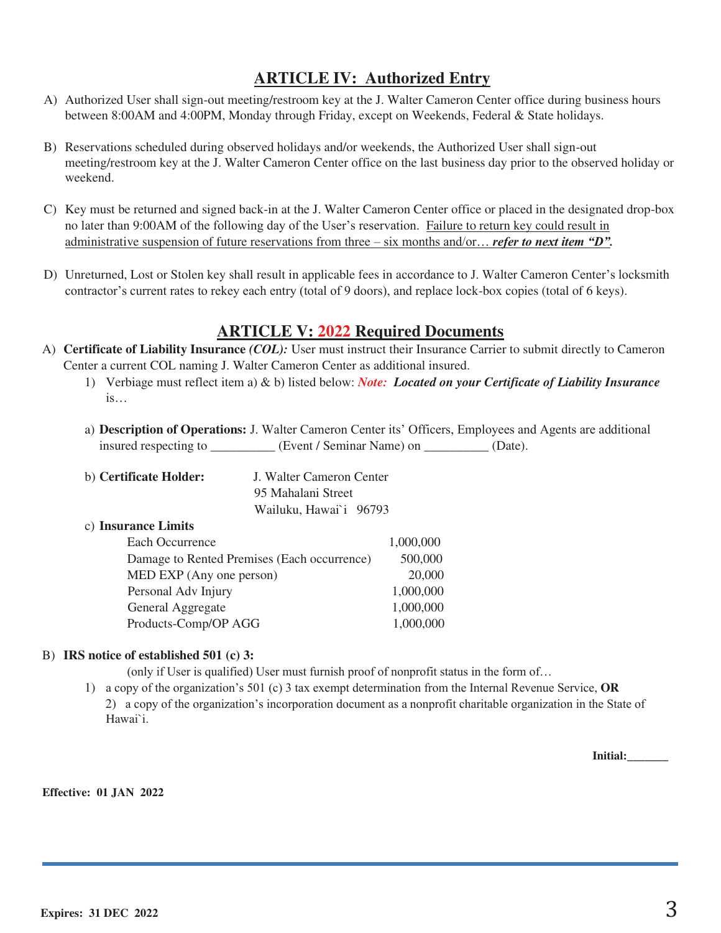# **ARTICLE IV: Authorized Entry**

- A) Authorized User shall sign-out meeting/restroom key at the J. Walter Cameron Center office during business hours between 8:00AM and 4:00PM, Monday through Friday, except on Weekends, Federal & State holidays.
- B) Reservations scheduled during observed holidays and/or weekends, the Authorized User shall sign-out meeting/restroom key at the J. Walter Cameron Center office on the last business day prior to the observed holiday or weekend.
- C) Key must be returned and signed back-in at the J. Walter Cameron Center office or placed in the designated drop-box no later than 9:00AM of the following day of the User's reservation. Failure to return key could result in administrative suspension of future reservations from three – six months and/or… *refer to next item "D".*
- D) Unreturned, Lost or Stolen key shall result in applicable fees in accordance to J. Walter Cameron Center's locksmith contractor's current rates to rekey each entry (total of 9 doors), and replace lock-box copies (total of 6 keys).

## **ARTICLE V: 2022 Required Documents**

- A) **Certificate of Liability Insurance** *(COL):* User must instruct their Insurance Carrier to submit directly to Cameron Center a current COL naming J. Walter Cameron Center as additional insured.
	- 1) Verbiage must reflect item a) & b) listed below: *Note: Located on your Certificate of Liability Insurance*   $is...$
	- a) **Description of Operations:** J. Walter Cameron Center its' Officers, Employees and Agents are additional insured respecting to \_\_\_\_\_\_\_\_\_\_ (Event / Seminar Name) on \_\_\_\_\_\_\_\_ (Date).

| b) Certificate Holder: | J. Walter Cameron Center |
|------------------------|--------------------------|
|                        | 95 Mahalani Street       |
|                        | Wailuku, Hawai'i 96793   |

#### c) **Insurance Limits**

| Each Occurrence                             | 1,000,000 |
|---------------------------------------------|-----------|
| Damage to Rented Premises (Each occurrence) | 500,000   |
| MED EXP (Any one person)                    | 20,000    |
| Personal Adv Injury                         | 1,000,000 |
| General Aggregate                           | 1,000,000 |
| Products-Comp/OP AGG                        | 1,000,000 |

#### B) **IRS notice of established 501 (c) 3:**

(only if User is qualified) User must furnish proof of nonprofit status in the form of…

1) a copy of the organization's 501 (c) 3 tax exempt determination from the Internal Revenue Service, **OR** 2) a copy of the organization's incorporation document as a nonprofit charitable organization in the State of Hawai`i.

**Initial:\_\_\_\_\_\_\_**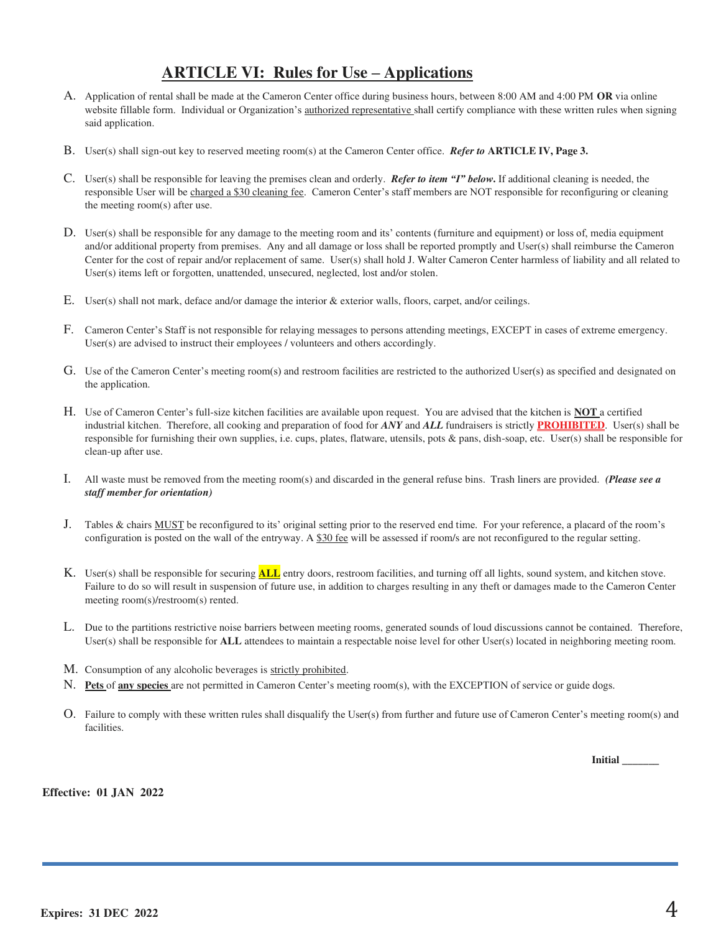# **ARTICLE VI: Rules for Use – Applications**

- A. Application of rental shall be made at the Cameron Center office during business hours, between 8:00 AM and 4:00 PM **OR** via online website fillable form. Individual or Organization's authorized representative shall certify compliance with these written rules when signing said application.
- B. User(s) shall sign-out key to reserved meeting room(s) at the Cameron Center office. *Refer to* **ARTICLE IV, Page 3.**
- C. User(s) shall be responsible for leaving the premises clean and orderly. *Refer to item "I" below***.** If additional cleaning is needed, the responsible User will be charged a \$30 cleaning fee. Cameron Center's staff members are NOT responsible for reconfiguring or cleaning the meeting room(s) after use.
- D. User(s) shall be responsible for any damage to the meeting room and its' contents (furniture and equipment) or loss of, media equipment and/or additional property from premises. Any and all damage or loss shall be reported promptly and User(s) shall reimburse the Cameron Center for the cost of repair and/or replacement of same. User(s) shall hold J. Walter Cameron Center harmless of liability and all related to User(s) items left or forgotten, unattended, unsecured, neglected, lost and/or stolen.
- E. User(s) shall not mark, deface and/or damage the interior & exterior walls, floors, carpet, and/or ceilings.
- F. Cameron Center's Staff is not responsible for relaying messages to persons attending meetings, EXCEPT in cases of extreme emergency. User(s) are advised to instruct their employees / volunteers and others accordingly.
- G. Use of the Cameron Center's meeting room(s) and restroom facilities are restricted to the authorized User(s) as specified and designated on the application.
- H. Use of Cameron Center's full-size kitchen facilities are available upon request. You are advised that the kitchen is **NOT** a certified industrial kitchen. Therefore, all cooking and preparation of food for *ANY* and *ALL* fundraisers is strictly **PROHIBITED**. User(s) shall be responsible for furnishing their own supplies, i.e. cups, plates, flatware, utensils, pots & pans, dish-soap, etc. User(s) shall be responsible for clean-up after use.
- I. All waste must be removed from the meeting room(s) and discarded in the general refuse bins. Trash liners are provided. *(Please see a staff member for orientation)*
- J. Tables & chairs MUST be reconfigured to its' original setting prior to the reserved end time. For your reference, a placard of the room's configuration is posted on the wall of the entryway. A \$30 fee will be assessed if room/s are not reconfigured to the regular setting.
- K. User(s) shall be responsible for securing **ALL** entry doors, restroom facilities, and turning off all lights, sound system, and kitchen stove. Failure to do so will result in suspension of future use, in addition to charges resulting in any theft or damages made to the Cameron Center meeting room(s)/restroom(s) rented.
- L. Due to the partitions restrictive noise barriers between meeting rooms, generated sounds of loud discussions cannot be contained. Therefore, User(s) shall be responsible for **ALL** attendees to maintain a respectable noise level for other User(s) located in neighboring meeting room.
- M. Consumption of any alcoholic beverages is strictly prohibited.
- N. **Pets** of **any species** are not permitted in Cameron Center's meeting room(s), with the EXCEPTION of service or guide dogs.
- O. Failure to comply with these written rules shall disqualify the User(s) from further and future use of Cameron Center's meeting room(s) and facilities.

**Initial \_\_\_\_\_\_\_**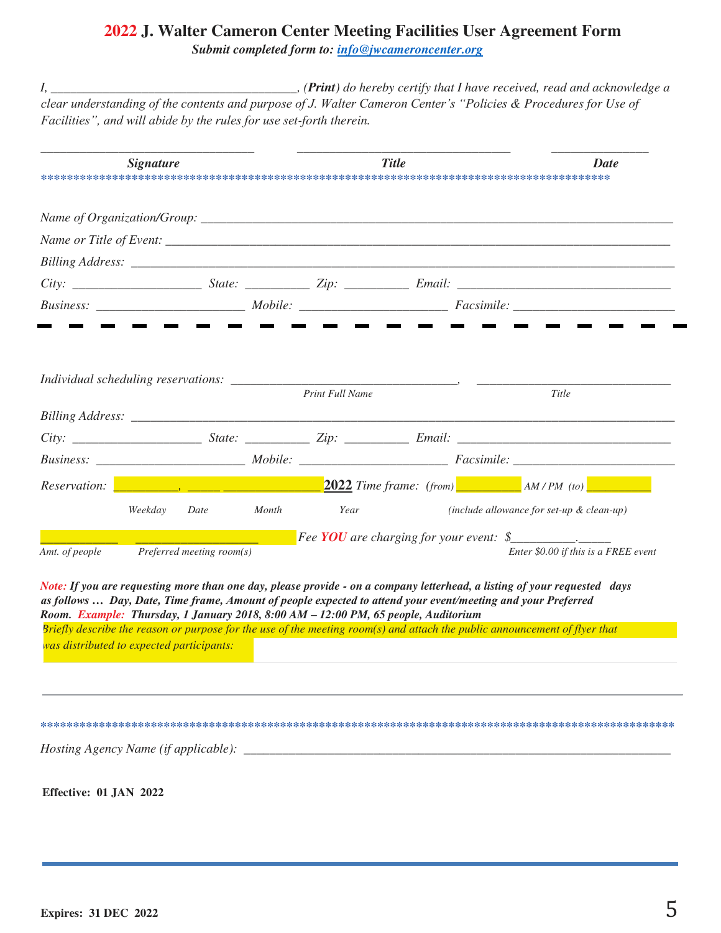## **2022 J. Walter Cameron Center Meeting Facilities User Agreement Form**  *Submit completed form to: info@jwcameroncenter.org*

*I, \_\_\_\_\_\_\_\_\_\_\_\_\_\_\_\_\_\_\_\_\_\_\_\_\_\_\_\_\_\_\_\_\_\_\_\_\_\_, (Print) do hereby certify that I have received, read and acknowledge a clear understanding of the contents and purpose of J. Walter Cameron Center's "Policies & Procedures for Use of Facilities", and will abide by the rules for use set-forth therein.*

|                                                | <b>Signature</b> |                           |       |                                                                                    | <b>Title</b> | <b>Date</b>                                                                                                                                                                                                                                                                                                                                                             |
|------------------------------------------------|------------------|---------------------------|-------|------------------------------------------------------------------------------------|--------------|-------------------------------------------------------------------------------------------------------------------------------------------------------------------------------------------------------------------------------------------------------------------------------------------------------------------------------------------------------------------------|
|                                                |                  |                           |       |                                                                                    |              |                                                                                                                                                                                                                                                                                                                                                                         |
|                                                |                  |                           |       |                                                                                    |              |                                                                                                                                                                                                                                                                                                                                                                         |
|                                                |                  |                           |       |                                                                                    |              |                                                                                                                                                                                                                                                                                                                                                                         |
|                                                |                  |                           |       |                                                                                    |              |                                                                                                                                                                                                                                                                                                                                                                         |
|                                                |                  |                           |       |                                                                                    |              |                                                                                                                                                                                                                                                                                                                                                                         |
| Individual scheduling reservations: __________ |                  |                           |       | Print Full Name                                                                    |              | Title                                                                                                                                                                                                                                                                                                                                                                   |
|                                                |                  |                           |       |                                                                                    |              |                                                                                                                                                                                                                                                                                                                                                                         |
|                                                |                  |                           |       |                                                                                    |              |                                                                                                                                                                                                                                                                                                                                                                         |
| Reservation:                                   |                  |                           |       |                                                                                    |              | <b>2022</b> Time frame: (from) $AM/PM$ (to)                                                                                                                                                                                                                                                                                                                             |
|                                                | Weekday          | Date                      | Month | Year                                                                               |              | $(include$ allowance for set-up $\&$ clean-up)                                                                                                                                                                                                                                                                                                                          |
| Amt. of people                                 |                  | Preferred meeting room(s) |       |                                                                                    |              | <b>Fee YOU</b> are charging for your event: $\oint$<br>Enter \$0.00 if this is a FREE event                                                                                                                                                                                                                                                                             |
|                                                |                  |                           |       | Room. Example: Thursday, 1 January 2018, 8:00 AM - 12:00 PM, 65 people, Auditorium |              | Note: If you are requesting more than one day, please provide - on a company letterhead, a listing of your requested days<br>as follows  Day, Date, Time frame, Amount of people expected to attend your event/meeting and your Preferred<br>Briefly describe the reason or purpose for the use of the meeting room(s) and attach the public announcement of flyer that |
| was distributed to expected participants:      |                  |                           |       |                                                                                    |              |                                                                                                                                                                                                                                                                                                                                                                         |

**\*\*\*\*\*\*\*\*\*\*\*\*\*\*\*\*\*\*\*\*\*\*\*\*\*\*\*\*\*\*\*\*\*\*\*\*\*\*\*\*\*\*\*\*\*\*\*\*\*\*\*\*\*\*\*\*\*\*\*\*\*\*\*\*\*\*\*\*\*\*\*\*\*\*\*\*\*\*\*\*\*\*\*\*\*\*\*\*\*\*\*\*\*\*\*\*\*\***

*Hosting Agency Name (if applicable): \_\_\_\_\_\_\_\_\_\_\_\_\_\_\_\_\_\_\_\_\_\_\_\_\_\_\_\_\_\_\_\_\_\_\_\_\_\_\_\_\_\_\_\_\_\_\_\_\_\_\_\_\_\_\_\_\_\_\_\_\_\_\_\_\_\_*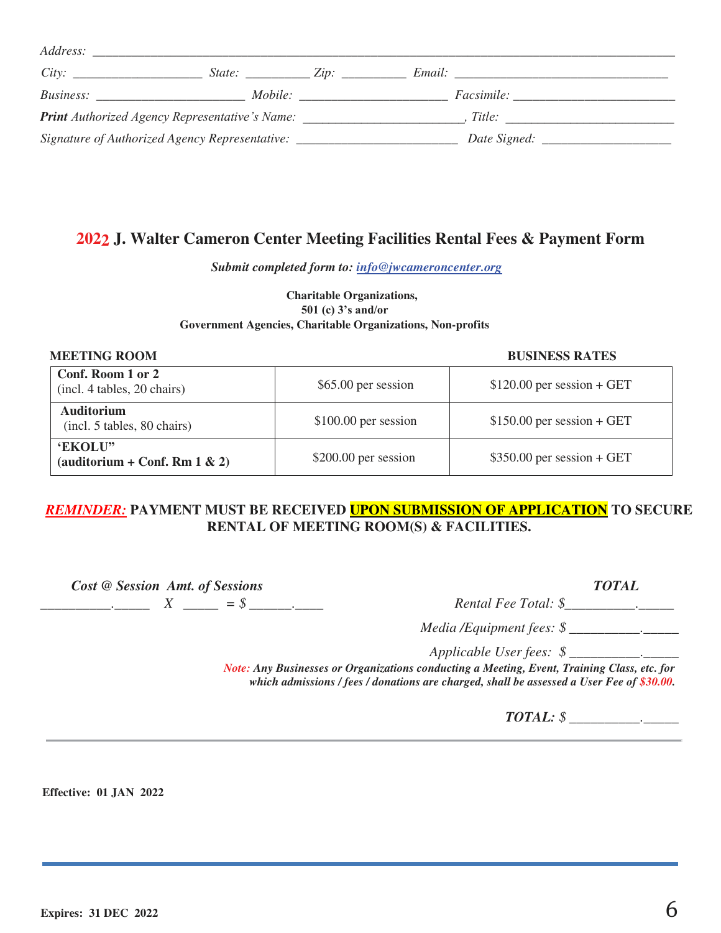| <i>Address:</i>                                                                  |        |                                                                                                                                                                                                                               |                   |
|----------------------------------------------------------------------------------|--------|-------------------------------------------------------------------------------------------------------------------------------------------------------------------------------------------------------------------------------|-------------------|
|                                                                                  | State: | $\angle$ ip:                                                                                                                                                                                                                  | <i>Email:</i>     |
| <i>Business:</i>                                                                 |        | Mobile: The Mobile of the Mobile of the Mobile of the Mobile of the Mobile of the Mobile of the Mobile of the Mobile of the Mobile of the Mobile of the Mobile of the Mobile of the Mobile of the Mobile of the Mobile of the | <i>Facsimile:</i> |
| <b>Print</b> Authorized Agency Representative's Name:                            |        |                                                                                                                                                                                                                               | Title:            |
| Signature of Authorized Agency Representative: _________________________________ |        |                                                                                                                                                                                                                               |                   |

#### **2022 J. Walter Cameron Center Meeting Facilities Rental Fees & Payment Form**

*Submit completed form to: info@jwcameroncenter.org* 

#### **Charitable Organizations, 501 (c) 3's and/or Government Agencies, Charitable Organizations, Non-profits**

**MEETING ROOM BUSINESS RATES**

| Conf. Room 1 or 2<br>(incl. 4 tables, 20 chairs) | \$65.00 per session   | $$120.00$ per session + GET |
|--------------------------------------------------|-----------------------|-----------------------------|
| <b>Auditorium</b><br>(incl. 5 tables, 80 chairs) | $$100.00$ per session | $$150.00$ per session + GET |
| 'EKOLU"<br>(auditorium + Conf. Rm $1 \& 2$ )     | \$200.00 per session  | $$350.00$ per session + GET |

### *REMINDER:* **PAYMENT MUST BE RECEIVED UPON SUBMISSION OF APPLICATION TO SECURE RENTAL OF MEETING ROOM(S) & FACILITIES.**

 $Cost @ Session \, Amt. \, of \, Sessions \qquad \qquad \qquad TOTAL$ <br> $\begin{array}{c} \text{2.13} \\ \text{3.25} \end{array}$  TOTAL Rental Fee Total: \$ *\_\_\_\_\_\_\_\_\_\_\_\_ X \_\_\_\_\_ = \$ \_\_\_\_\_\_\_*.

 *Media /Equipment fees: \$ \_\_\_\_\_\_\_\_\_\_.\_\_\_\_\_* 

*Applicable User fees: \$ \_\_\_\_\_\_\_\_\_\_.\_\_\_\_\_* 

*Note: Any Businesses or Organizations conducting a Meeting, Event, Training Class, etc. for which admissions / fees / donations are charged, shall be assessed a User Fee of \$30.00.*

*TOTAL: \$ \_\_\_\_\_\_\_\_\_\_.\_\_\_\_\_*